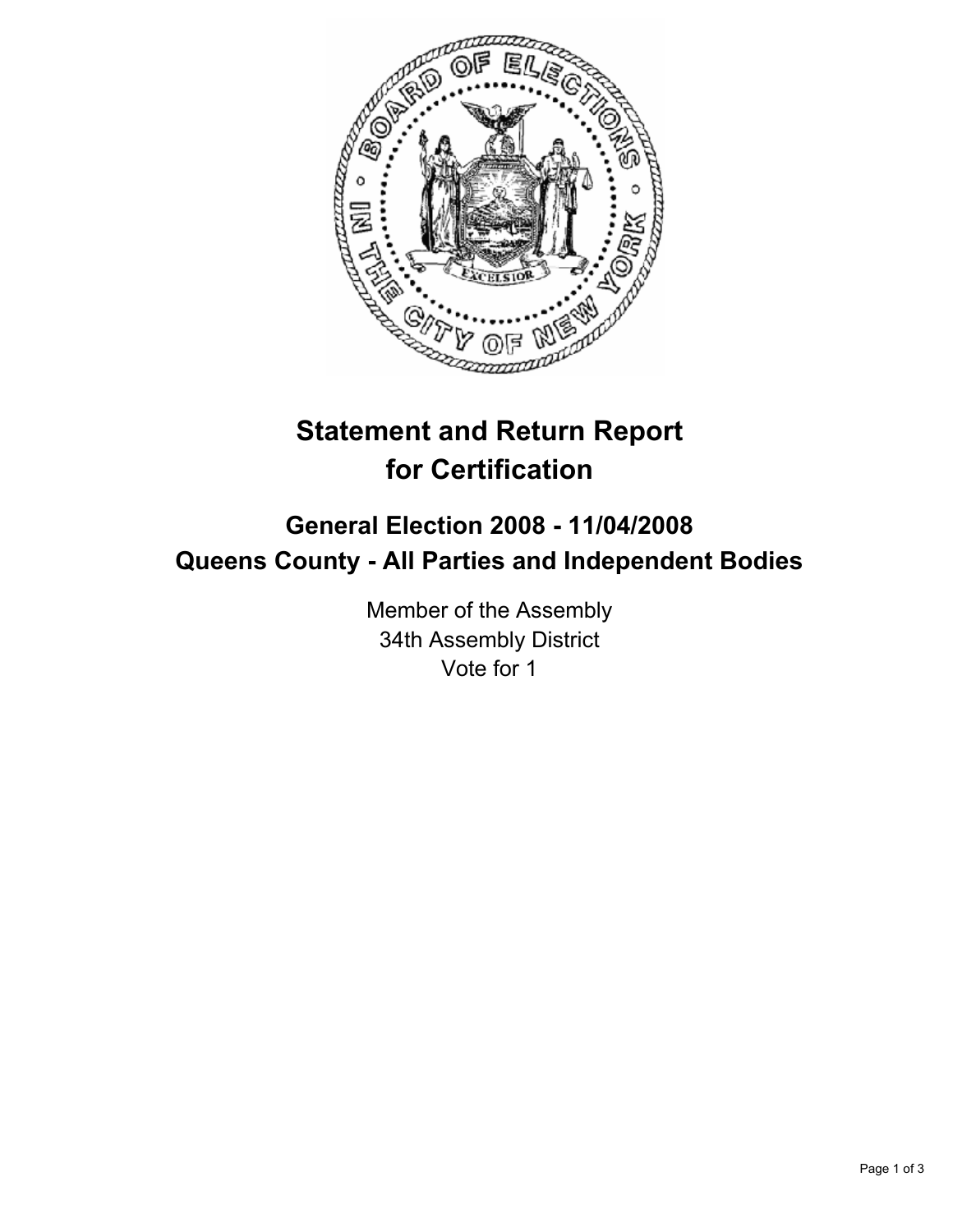

# **Statement and Return Report for Certification**

# **General Election 2008 - 11/04/2008 Queens County - All Parties and Independent Bodies**

Member of the Assembly 34th Assembly District Vote for 1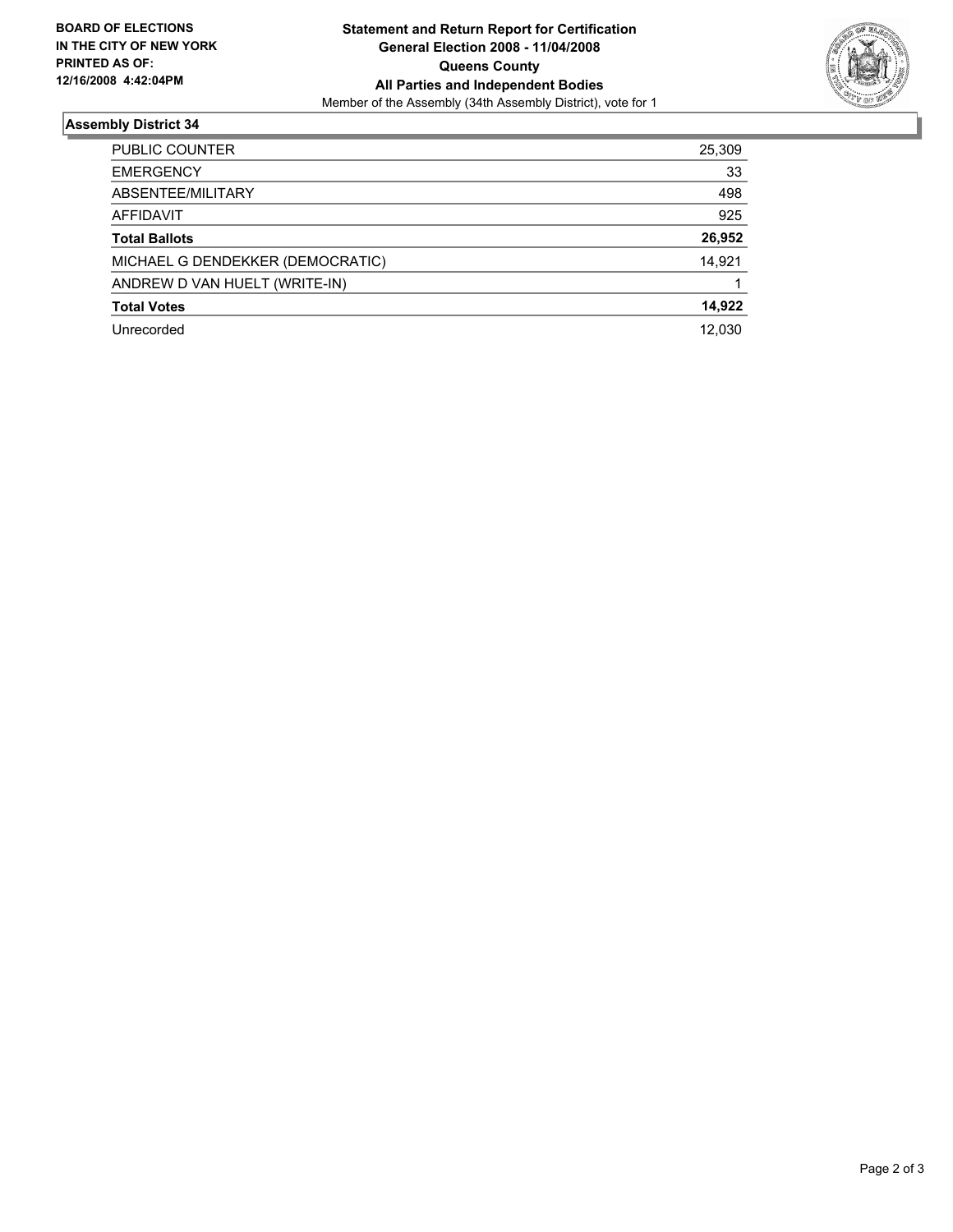

## **Assembly District 34**

| PUBLIC COUNTER                   | 25,309 |
|----------------------------------|--------|
| <b>EMERGENCY</b>                 | 33     |
| ABSENTEE/MILITARY                | 498    |
| AFFIDAVIT                        | 925    |
| <b>Total Ballots</b>             | 26,952 |
| MICHAEL G DENDEKKER (DEMOCRATIC) | 14,921 |
| ANDREW D VAN HUELT (WRITE-IN)    |        |
| <b>Total Votes</b>               | 14,922 |
| Unrecorded                       | 12,030 |
|                                  |        |